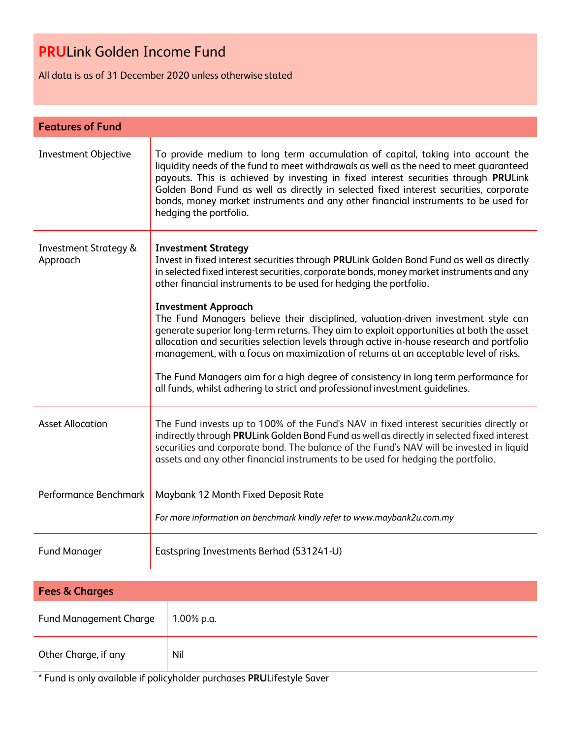# **PRU**Link Golden Income Fund

All data is as of 31 December 2020 unless otherwise stated

| <b>Features of Fund</b>                      |                                                                                                                                                                                                                                                                                                                                                                                                                                                                                                                                                                                                                                                                                                                                                                                                                                                                     |  |
|----------------------------------------------|---------------------------------------------------------------------------------------------------------------------------------------------------------------------------------------------------------------------------------------------------------------------------------------------------------------------------------------------------------------------------------------------------------------------------------------------------------------------------------------------------------------------------------------------------------------------------------------------------------------------------------------------------------------------------------------------------------------------------------------------------------------------------------------------------------------------------------------------------------------------|--|
| <b>Investment Objective</b>                  | To provide medium to long term accumulation of capital, taking into account the<br>liquidity needs of the fund to meet withdrawals as well as the need to meet guaranteed<br>payouts. This is achieved by investing in fixed interest securities through PRULink<br>Golden Bond Fund as well as directly in selected fixed interest securities, corporate<br>bonds, money market instruments and any other financial instruments to be used for<br>hedging the portfolio.                                                                                                                                                                                                                                                                                                                                                                                           |  |
| <b>Investment Strategy &amp;</b><br>Approach | <b>Investment Strategy</b><br>Invest in fixed interest securities through PRULink Golden Bond Fund as well as directly<br>in selected fixed interest securities, corporate bonds, money market instruments and any<br>other financial instruments to be used for hedging the portfolio.<br><b>Investment Approach</b><br>The Fund Managers believe their disciplined, valuation-driven investment style can<br>generate superior long-term returns. They aim to exploit opportunities at both the asset<br>allocation and securities selection levels through active in-house research and portfolio<br>management, with a focus on maximization of returns at an acceptable level of risks.<br>The Fund Managers aim for a high degree of consistency in long term performance for<br>all funds, whilst adhering to strict and professional investment guidelines. |  |
| <b>Asset Allocation</b>                      | The Fund invests up to 100% of the Fund's NAV in fixed interest securities directly or<br>indirectly through PRULink Golden Bond Fund as well as directly in selected fixed interest<br>securities and corporate bond. The balance of the Fund's NAV will be invested in liquid<br>assets and any other financial instruments to be used for hedging the portfolio.                                                                                                                                                                                                                                                                                                                                                                                                                                                                                                 |  |
| Performance Benchmark                        | Maybank 12 Month Fixed Deposit Rate<br>For more information on benchmark kindly refer to www.maybank2u.com.my                                                                                                                                                                                                                                                                                                                                                                                                                                                                                                                                                                                                                                                                                                                                                       |  |
| <b>Fund Manager</b>                          | Eastspring Investments Berhad (531241-U)                                                                                                                                                                                                                                                                                                                                                                                                                                                                                                                                                                                                                                                                                                                                                                                                                            |  |

| <b>Fees &amp; Charges</b>     |            |  |
|-------------------------------|------------|--|
| <b>Fund Management Charge</b> | 1.00% p.a. |  |
| Other Charge, if any          | Nil        |  |

\* Fund is only available if policyholder purchases **PRU**Lifestyle Saver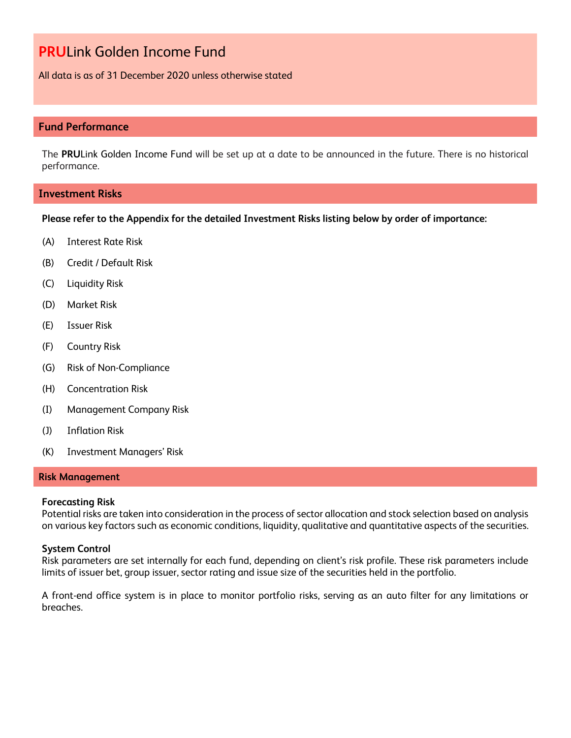# **PRU**Link Golden Income Fund

All data is as of 31 December 2020 unless otherwise stated

## **Fund Performance**

The **PRU**Link Golden Income Fund will be set up at a date to be announced in the future. There is no historical performance.

### **Investment Risks**

#### **Please refer to the Appendix for the detailed Investment Risks listing below by order of importance:**

- (A) Interest Rate Risk
- (B) Credit / Default Risk
- (C) Liquidity Risk
- (D) Market Risk
- (E) Issuer Risk
- (F) Country Risk
- (G) Risk of Non-Compliance
- (H) Concentration Risk
- (I) Management Company Risk
- (J) Inflation Risk
- (K) Investment Managers' Risk

### **Risk Management**

#### **Forecasting Risk**

Potential risks are taken into consideration in the process of sector allocation and stock selection based on analysis on various key factors such as economic conditions, liquidity, qualitative and quantitative aspects of the securities.

#### **System Control**

Risk parameters are set internally for each fund, depending on client's risk profile. These risk parameters include limits of issuer bet, group issuer, sector rating and issue size of the securities held in the portfolio.

A front-end office system is in place to monitor portfolio risks, serving as an auto filter for any limitations or breaches.